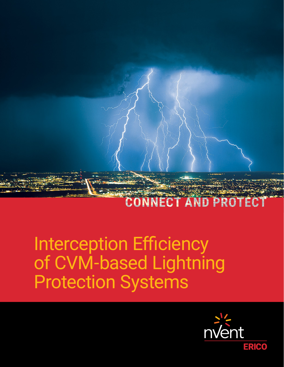

# Interception Efficiency of CVM-based Lightning Protection Systems

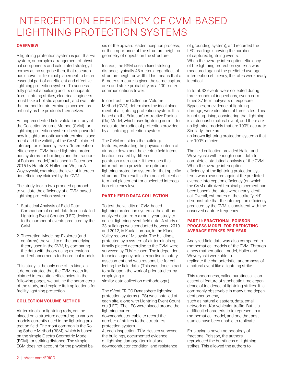# INTERCEPTION EFFICIENCY OF CVM-BASED LIGHTNING PROTECTION SYSTEMS

# **OVERVIEW**

A lightning protection system is just that—a system, or complex arrangement of physical components and calculated strategy. It comes as no surprise then, that research has shown air terminal placement to be an essential part of an efficient and effective lightning protection system. To successfully protect a building and its occupants from lightning strikes, electrical engineers must take a holistic approach, and evaluate the method for air terminal placement as critically as the products themselves.

An unprecedented field-validation study of the Collection Volume Method (CVM) for lightning protection system sheds powerful new insights on optimum air terminal placement and the validity of the CVM's claimed interception efficiency levels. "Interception efficiency of CVM-based lightning protection systems for buildings and the fractional Poisson model," published in December 2015 by Harold S. Haller and Wojbor A. Woyczynski, examines the level of interception efficiency claimed by the CVM.

The study took a two-pronged approach to validate the efficiency of a CVM-based lightning protection system:

- 1. Statistical Analysis of Field Data: Comparison of count data from installed Lightning Event Counter (LEC) devices to the number of events predicted by the CVM.
- 2. Theoretical Modeling: Explores (and confirms) the validity of the underlying theory used in the CVM, by comparing the data with theory using extensions and enhancements to theoretical models.

This study is the only one of its kind, as it demonstrated that the CVM meets its claimed interception efficiencies. In the following pages, we outline the parameters of the study, and explore its implications for facility lightning protection.

# **COLLECTION VOLUME METHOD**

Air terminals, or lightning rods, can be placed on a structure according to various models currently used in the lightning protection field. The most common is the Rolling Sphere Method (RSM), which is based on the simple Electro Geometric Model (EGM) for striking distance. The simple EGM does not account for the physical ba-

sis of the upward leader inception process, or the importance of the structure height or geometry of objects on the structure.

Instead, the RSM uses a fixed striking distance, typically 45 meters, regardless of structure height or width. This means that a 5-meter structure is given the same capture area and strike probability as a 100-meter communications tower.

In contrast, the Collection Volume Method (CVM) determines the ideal placement of a lightning protection system. It is based on the Eriksson's Attractive Radius (Ra) Model, which uses lightning current to calculate the radius of protection provided by a lightning protection system.

The CVM considers the building's features, evaluating the physical criteria of air breakdown and the electric field intensification created by different points on a structure. It then uses this information to provide the optimum lightning protection system for that specific structure. The result is the most efficient air terminal placement for a selected interception efficiency level.

# **PART I: FIELD DATA COLLECTION**

To test the validity of CVM-based lightning protection systems, the authors analyzed data from a multi-year study to collect lightning event field data. A study of 33 buildings was conducted between 2010 and 2012, in Kuala Lumpur, in the Klang Valley region of Malaysia. The buildings, protected by a system of air terminals optimally placed according to the CVM, were surveyed by TÜV-Hessen. The independent technical agency holds expertise in safety assessment and was responsible for collecting the field data. (This was done in part to build upon the work of prior studies, by employing a

similar data collection methodology.)

The nVent ERICO Dynasphere lightning protection systems (LPS) was installed at each site, along with Lightning Event Counters (LEC). The LEC were placed around the lightning current downconductor cable to record the

number of strikes to the structure's protection system.

At each inspection, TÜV-Hessen surveyed the buildings, documented evidence of lightning damage (terminal and downconductor condition, and resistance

of grounding system), and recorded the LEC readings showing the number of captured lightning events. When the average interception efficiency of the lightning protection systems was measured against the predicted average interception efficiency, the rates were nearly identical.

In total, 33 events were collected during three rounds of inspections, over a combined 37 terminal-years of exposure. Bypasses, or evidence of lightning damage, were identified at three sites. This is not surprising, considering that lightning is a stochastic natural event, and there are no lightning models that are 100% accurate. Similarly, there are no known lightning protection systems that

are 100% efficient.

The field collection provided Haller and Woyczynski with enough count data to complete a statistical analysis of the CVM. When the average interception efficiency of the lightning protection systems was measured against the predicted average interception efficiency (on which the CVM-optimized terminal placement had been based), the rates were nearly identical. Overall, estimates of the strike "yield" demonstrate that the interception efficiency predicted by the CVM is consistent with the observed capture frequency.

#### **PART II: FRACTIONAL POISSON PROCESS MODEL FOR PREDICTING AVERAGE STRIKES PER YEAR**

Analyzed field data was also compared to mathematical models of the CVM. Through a new mathematical model, Haller and Woyczynski were able to replicate the characteristic randomness of a natural event like a lightning strike.

This randomness, called burstiness, is an essential feature of stochastic time dependence of incidence of lightning strikes. It is commonly observable in many time-dependent phenomena,

such as natural disasters, data, email, network and/or vehicular traffic. But it is a difficult characteristic to represent in a mathematical model, and one that past studies have been unable to replicate.

Employing a novel methodology of fractional Poisson, the authors reproduced the burstiness of lightning strikes. This allowed the authors to